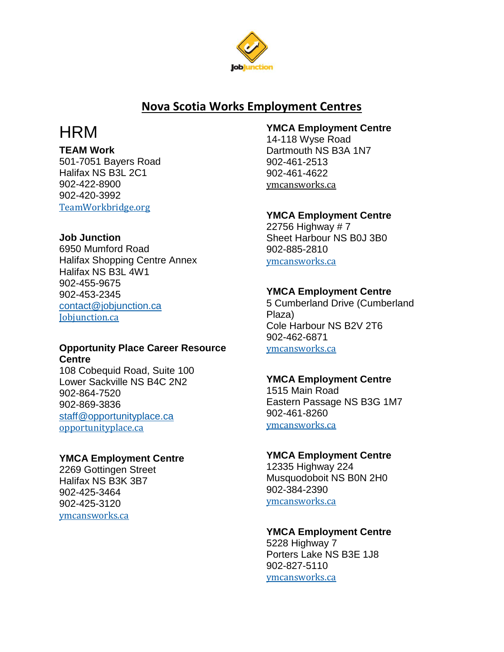

# **Nova Scotia Works Employment Centres**

# **HRM**

**TEAM Work**

501-7051 Bayers Road Halifax NS B3L 2C1 902-422-8900 902-420-3992 [TeamWorkbridge.org](http://www.teamworkbridge.org/)

# **Job Junction**

6950 Mumford Road Halifax Shopping Centre Annex Halifax NS B3L 4W1 902-455-9675 902-453-2345 [contact@jobjunction.ca](mailto:contact@jobjunction.ca) [Jobjunction.ca](http://www.jobjunction.ca/)

# **Opportunity Place Career Resource Centre**

108 Cobequid Road, Suite 100 Lower Sackville NS B4C 2N2 902-864-7520 902-869-3836 [staff@opportunityplace.ca](mailto:staff@opportunityplace.ca) [opportunityplace.ca](http://www.opportunityplace.ca/)

# **YMCA Employment Centre**

2269 Gottingen Street Halifax NS B3K 3B7 902-425-3464 902-425-3120 [ymcansworks.ca](http://www.ymcansworks.ca/)

# **YMCA Employment Centre**

14-118 Wyse Road Dartmouth NS B3A 1N7 902-461-2513 902-461-4622 [ymcansworks.ca](http://www.ymcansworks.ca/)

# **YMCA Employment Centre**

22756 Highway # 7 Sheet Harbour NS B0J 3B0 902-885-2810 [ymcansworks.ca](http://www.ymcansworks.ca/)

# **YMCA Employment Centre**

5 Cumberland Drive (Cumberland Plaza) Cole Harbour NS B2V 2T6 902-462-6871 [ymcansworks.ca](http://www.ymcansworks.ca/)

# **YMCA Employment Centre**

1515 Main Road Eastern Passage NS B3G 1M7 902-461-8260 [ymcansworks.ca](http://www.ymcansworks.ca/)

# **YMCA Employment Centre**

12335 Highway 224 Musquodoboit NS B0N 2H0 902-384-2390 [ymcansworks.ca](http://www.ymcansworks.ca/)

# **YMCA Employment Centre**

5228 Highway 7 Porters Lake NS B3E 1J8 902-827-5110 [ymcansworks.ca](http://www.ymcansworks.ca/)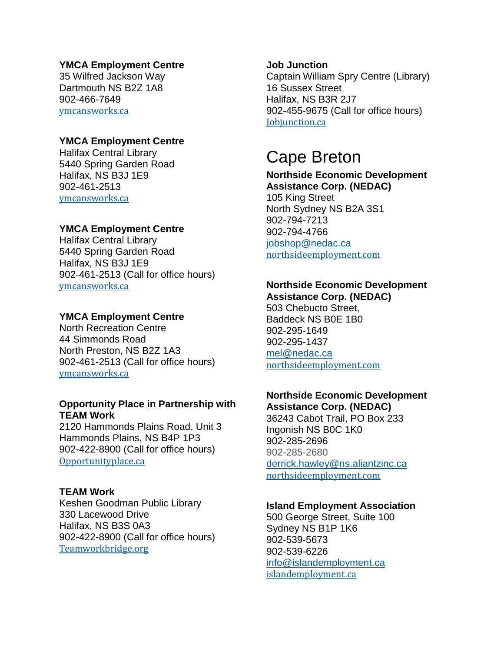# **YMCA Employment Centre**

35 Wilfred Jackson Way Dartmouth NS B2Z 1A8 902-466-7649 [ymcansworks.ca](http://www.ymcansworks.ca/)

# **YMCA Employment Centre**

Halifax Central Library 5440 Spring Garden Road Halifax, NS B3J 1E9 902-461-2513 [ymcansworks.ca](http://www.ymcansworks.ca/)

# **YMCA Employment Centre**

Halifax Central Library 5440 Spring Garden Road Halifax, NS B3J 1E9 902-461-2513 (Call for office hours) [ymcansworks.ca](http://www.ymcansworks.ca/)

# **YMCA Employment Centre**

North Recreation Centre 44 Simmonds Road North Preston, NS B2Z 1A3 902-461-2513 (Call for office hours) [ymcansworks.ca](http://www.ymcansworks.ca/)

# **Opportunity Place in Partnership with TEAM Work**

2120 Hammonds Plains Road, Unit 3 Hammonds Plains, NS B4P 1P3 902-422-8900 (Call for office hours) [Opportunityplace.ca](http://www.opportunityplace.ca/)

## **TEAM Work**

Keshen Goodman Public Library 330 Lacewood Drive Halifax, NS B3S 0A3 902-422-8900 (Call for office hours) [Teamworkbridge.org](https://teamworkbridge.org/)

## **Job Junction**

Captain William Spry Centre (Library) 16 Sussex Street Halifax, NS B3R 2J7 902-455-9675 (Call for office hours) [Jobjunction.ca](http://www.jobjunction.ca/)

# Cape Breton

#### **Northside Economic Development Assistance Corp. (NEDAC)**

105 King Street North Sydney NS B2A 3S1 902-794-7213 902-794-4766 [jobshop@nedac.ca](mailto:jobshop@nedac.ca) [northsideemployment.com](http://www.northsideemployment.com/)

# **Northside Economic Development**

**Assistance Corp. (NEDAC)** 503 Chebucto Street, Baddeck NS B0E 1B0 902-295-1649 902-295-1437 [mel@nedac.ca](mailto:mel@nedac.ca) [northsideemployment.com](http://www.northsideemployment.com/)

# **Northside Economic Development Assistance Corp. (NEDAC)**

36243 Cabot Trail, PO Box 233 Ingonish NS B0C 1K0 902-285-2696 902-285-2680 [derrick.hawley@ns.aliantzinc.ca](mailto:derrick.hawley@ns.aliantzinc.ca) [northsideemployment.com](http://www.northsideemployment.com/)

# **Island Employment Association**

500 George Street, Suite 100 Sydney NS B1P 1K6 902-539-5673 902-539-6226 [info@islandemployment.ca](mailto:info@islandemployment.ca) [islandemployment.ca](http://www.islandemployment.ca/)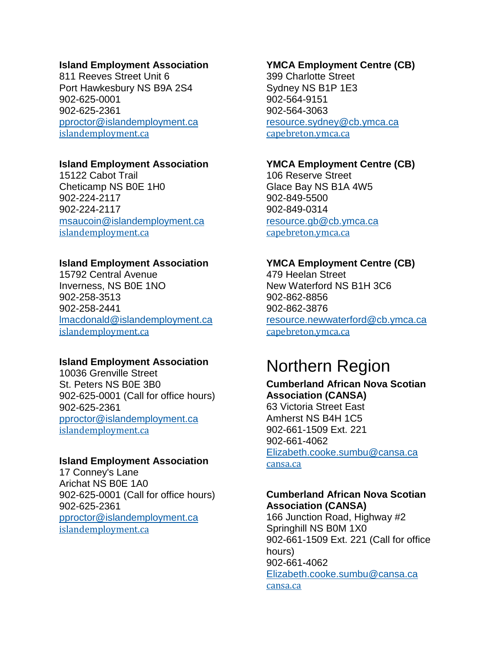#### **Island Employment Association**

811 Reeves Street Unit 6 Port Hawkesbury NS B9A 2S4 902-625-0001 902-625-2361 [pproctor@islandemployment.ca](mailto:pproctor@islandemployment.ca) [islandemployment.ca](http://www.islandemployment.ca/)

## **Island Employment Association**

15122 Cabot Trail Cheticamp NS B0E 1H0 902-224-2117 902-224-2117 [msaucoin@islandemployment.ca](mailto:msaucoin@islandemployment.ca) [islandemployment.ca](http://www.islandemployment.ca/)

## **Island Employment Association**

15792 Central Avenue Inverness, NS B0E 1NO 902-258-3513 902-258-2441 [lmacdonald@islandemployment.ca](mailto:lmacdonald@islandemployment.ca) [islandemployment.ca](http://www.islandemployment.ca/)

# **Island Employment Association**

10036 Grenville Street St. Peters NS B0E 3B0 902-625-0001 (Call for office hours) 902-625-2361 [pproctor@islandemployment.ca](mailto:pproctor@islandemployment.ca) [islandemployment.ca](http://www.islandemployment.ca/)

#### **Island Employment Association**

17 Conney's Lane Arichat NS B0E 1A0 902-625-0001 (Call for office hours) 902-625-2361 [pproctor@islandemployment.ca](mailto:pproctor@islandemployment.ca) [islandemployment.ca](http://www.islandemployment.ca/)

#### **YMCA Employment Centre (CB)**

399 Charlotte Street Sydney NS B1P 1E3 902-564-9151 902-564-3063 [resource.sydney@cb.ymca.ca](mailto:resource.sydney@cb.ymca.ca) [capebreton.ymca.ca](http://capebreton.ymca.ca/Home)

# **YMCA Employment Centre (CB)**

106 Reserve Street Glace Bay NS B1A 4W5 902-849-5500 902-849-0314 [resource.gb@cb.ymca.ca](mailto:resource.gb@cb.ymca.ca) [capebreton.ymca.ca](http://capebreton.ymca.ca/Home)

#### **YMCA Employment Centre (CB)**

479 Heelan Street New Waterford NS B1H 3C6 902-862-8856 902-862-3876 [resource.newwaterford@cb.ymca.ca](mailto:resource.newwaterford@cb.ymca.ca) [capebreton.ymca.ca](http://capebreton.ymca.ca/Home)

# Northern Region

**Cumberland African Nova Scotian Association (CANSA)** 63 Victoria Street East Amherst NS B4H 1C5 902-661-1509 Ext. 221 902-661-4062 [Elizabeth.cooke.sumbu@cansa.ca](mailto:Elizabeth.cooke.sumbu@cansa.ca) [cansa.ca](http://www.cansa.ca/)

# **Cumberland African Nova Scotian Association (CANSA)**

166 Junction Road, Highway #2 Springhill NS B0M 1X0 902-661-1509 Ext. 221 (Call for office hours) 902-661-4062 [Elizabeth.cooke.sumbu@cansa.ca](mailto:Elizabeth.cooke.sumbu@cansa.ca) [cansa.ca](http://www.cansa.ca/)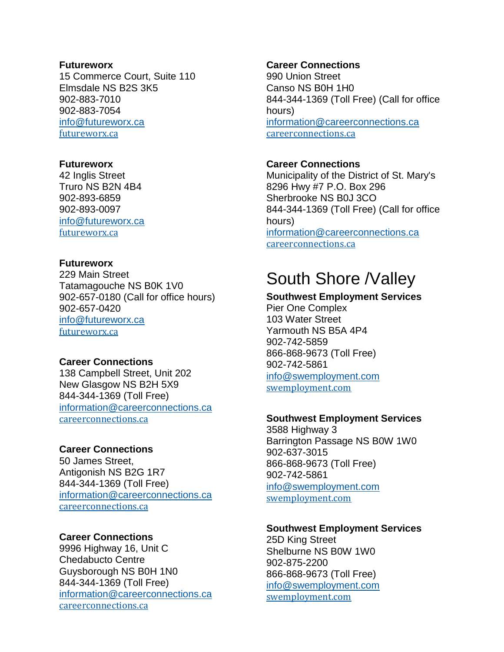#### **Futureworx**

15 Commerce Court, Suite 110 Elmsdale NS B2S 3K5 902-883-7010 902-883-7054 [info@futureworx.ca](mailto:info@futureworx.ca) [futureworx.ca](http://www.futureworx.ca/)

#### **Futureworx**

42 Inglis Street Truro NS B2N 4B4 902-893-6859 902-893-0097 [info@futureworx.ca](mailto:info@futureworx.ca) [futureworx.ca](http://www.futureworx.ca/)

# **Futureworx**

229 Main Street Tatamagouche NS B0K 1V0 902-657-0180 (Call for office hours) 902-657-0420 [info@futureworx.ca](mailto:info@futureworx.ca) [futureworx.ca](http://www.futureworx.ca/)

## **Career Connections**

138 Campbell Street, Unit 202 New Glasgow NS B2H 5X9 844-344-1369 (Toll Free) [information@careerconnections.ca](mailto:information@careerconnections.ca) [careerconnections.ca](https://www.careerconnections.ca/)

## **Career Connections**

50 James Street, Antigonish NS B2G 1R7 844-344-1369 (Toll Free) [information@careerconnections.ca](mailto:information@careerconnections.ca) [careerconnections.ca](https://www.careerconnections.ca/)

#### **Career Connections**

9996 Highway 16, Unit C Chedabucto Centre Guysborough NS B0H 1N0 844-344-1369 (Toll Free) [information@careerconnections.ca](mailto:information@careerconnections.ca) [careerconnections.ca](https://www.careerconnections.ca/)

## **Career Connections**

990 Union Street Canso NS B0H 1H0 844-344-1369 (Toll Free) (Call for office hours) [information@careerconnections.ca](mailto:information@careerconnections.ca) [careerconnections.ca](https://www.careerconnections.ca/)

# **Career Connections**

Municipality of the District of St. Mary's 8296 Hwy #7 P.O. Box 296 Sherbrooke NS B0J 3CO 844-344-1369 (Toll Free) (Call for office hours) [information@careerconnections.ca](mailto:information@careerconnections.ca) [careerconnections.ca](https://www.careerconnections.ca/)

# South Shore /Valley

# **Southwest Employment Services**

Pier One Complex 103 Water Street Yarmouth NS B5A 4P4 902-742-5859 866-868-9673 (Toll Free) 902-742-5861 [info@swemployment.com](mailto:info@swemployment.com) [swemployment.com](http://www.swemployment.com/)

#### **Southwest Employment Services**

3588 Highway 3 Barrington Passage NS B0W 1W0 902-637-3015 866-868-9673 (Toll Free) 902-742-5861 [info@swemployment.com](mailto:info@swemployment.com) [swemployment.com](http://www.swemployment.com/)

#### **Southwest Employment Services**

25D King Street Shelburne NS B0W 1W0 902-875-2200 866-868-9673 (Toll Free) [info@swemployment.com](mailto:info@swemployment.com) [swemployment.com](http://www.swemployment.com/)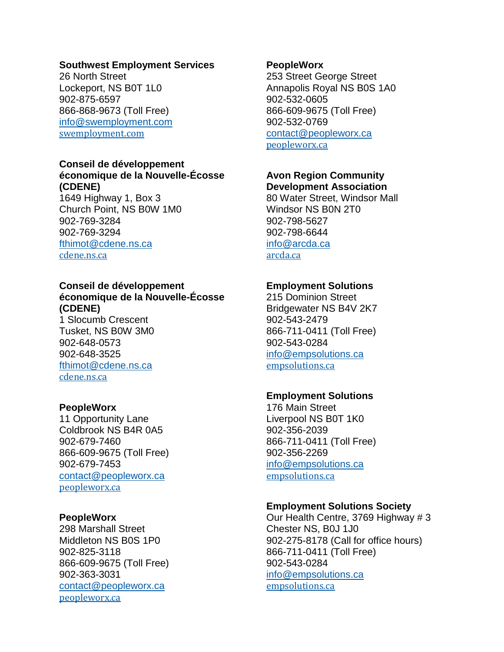#### **Southwest Employment Services**

26 North Street Lockeport, NS B0T 1L0 902-875-6597 866-868-9673 (Toll Free) [info@swemployment.com](mailto:info@swemployment.com) [swemployment.com](http://www.swemployment.com/)

#### **Conseil de développement économique de la Nouvelle-Écosse (CDENE)**

1649 Highway 1, Box 3 Church Point, NS B0W 1M0 902-769-3284 902-769-3294 [fthimot@cdene.ns.ca](mailto:fthimot@cdene.ns.ca) [cdene.ns.ca](http://www.cdene.ns.ca/)

# **Conseil de développement économique de la Nouvelle-Écosse (CDENE)**

1 Slocumb Crescent Tusket, NS B0W 3M0 902-648-0573 902-648-3525 [fthimot@cdene.ns.ca](mailto:fthimot@cdene.ns.ca) [cdene.ns.ca](http://www.cdene.ns.ca/)

# **PeopleWorx**

11 Opportunity Lane Coldbrook NS B4R 0A5 902-679-7460 866-609-9675 (Toll Free) 902-679-7453 [contact@peopleworx.ca](mailto:contact@peopleworx.ca) [peopleworx.ca](http://www.peopleworx.ca/)

## **PeopleWorx**

298 Marshall Street Middleton NS B0S 1P0 902-825-3118 866-609-9675 (Toll Free) 902-363-3031 [contact@peopleworx.ca](mailto:contact@peopleworx.ca) [peopleworx.ca](http://www.peopleworx.ca/)

#### **PeopleWorx**

253 Street George Street Annapolis Royal NS B0S 1A0 902-532-0605 866-609-9675 (Toll Free) 902-532-0769 [contact@peopleworx.ca](mailto:contact@peopleworx.ca) [peopleworx.ca](http://www.peopleworx.ca/)

# **Avon Region Community**

**Development Association** 80 Water Street, Windsor Mall Windsor NS B0N 2T0 902-798-5627 902-798-6644 [info@arcda.ca](mailto:info@arcda.ca) [arcda.ca](http://www.arcda.ca/)

# **Employment Solutions**

215 Dominion Street Bridgewater NS B4V 2K7 902-543-2479 866-711-0411 (Toll Free) 902-543-0284 [info@empsolutions.ca](mailto:info@empsolutions.ca) [empsolutions.ca](https://empsolutions.ca/)

## **Employment Solutions**

176 Main Street Liverpool NS B0T 1K0 902-356-2039 866-711-0411 (Toll Free) 902-356-2269 [info@empsolutions.ca](mailto:info@empsolutions.ca) [empsolutions.ca](https://empsolutions.ca/)

## **Employment Solutions Society**

Our Health Centre, 3769 Highway # 3 Chester NS, B0J 1J0 902-275-8178 (Call for office hours) 866-711-0411 (Toll Free) 902-543-0284 [info@empsolutions.ca](mailto:info@empsolutions.ca) [empsolutions.ca](https://empsolutions.ca/)